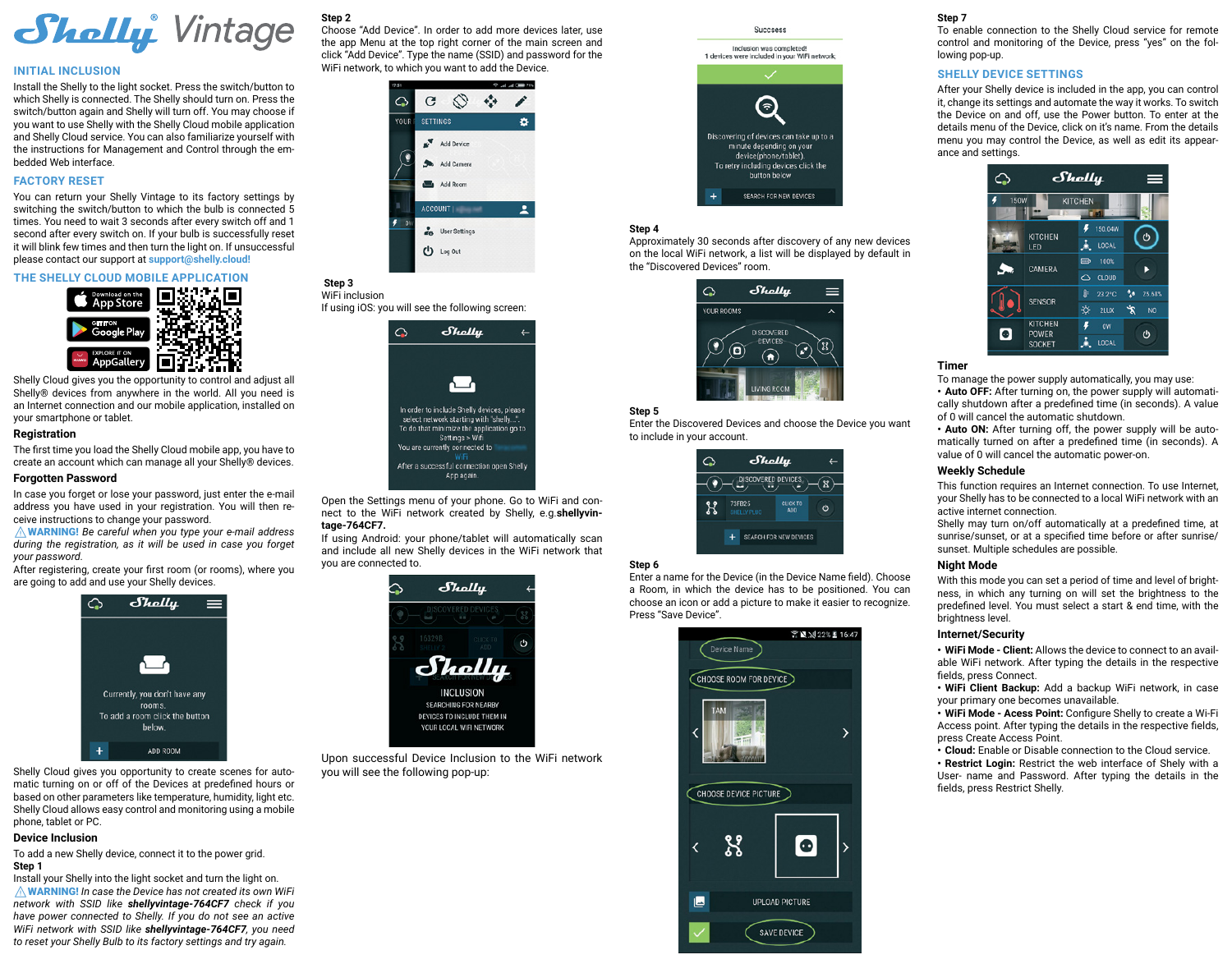

#### **INITIAL INCLUSION**

Install the Shelly to the light socket. Press the switch/button to which Shelly is connected. The Shelly should turn on. Press the switch/button again and Shelly will turn off. You may choose if you want to use Shelly with the Shelly Cloud mobile application and Shelly Cloud service. You can also familiarize yourself with the instructions for Management and Control through the embedded Web interface.

## **FACTORY RESET**

You can return your Shelly Vintage to its factory settings by switching the switch/button to which the bulb is connected 5 times. You need to wait 3 seconds after every switch off and 1 second after every switch on. If your bulb is successfully reset it will blink few times and then turn the light on. If unsuccessful please contact our support at **support@shelly.cloud!**

## **THE SHELLY CLOUD MOBILE APPLICATION**



Shelly Cloud gives you the opportunity to control and adjust all Shelly® devices from anywhere in the world. All you need is an Internet connection and our mobile application, installed on your smartphone or tablet.

### **Registration**

The first time you load the Shelly Cloud mobile app, you have to create an account which can manage all your Shelly® devices.

## **Forgotten Password**

In case you forget or lose your password, just enter the e-mail address you have used in your registration. You will then receive instructions to change your password.

⚠WARNING! *Be careful when you type your e-mail address during the registration, as it will be used in case you forget your password.*

After registering, create your first room (or rooms), where you are going to add and use your Shelly devices.



Shelly Cloud gives you opportunity to create scenes for automatic turning on or off of the Devices at predefined hours or based on other parameters like temperature, humidity, light etc. Shelly Cloud allows easy control and monitoring using a mobile phone, tablet or PC.

#### **Device Inclusion**

To add a new Shelly device, connect it to the power grid. **Step 1** 

Install your Shelly into the light socket and turn the light on. ⚠WARNING! *In case the Device has not created its own WiFi network with SSID like shellyvintage-764CF7 check if you have power connected to Shelly. If you do not see an active WiFi network with SSID like shellyvintage-764CF7, you need to reset your Shelly Bulb to its factory settings and try again.*

## **Step 2**

Choose "Add Device". In order to add more devices later, use the app Menu at the top right corner of the main screen and click "Add Device". Type the name (SSID) and password for the WiFi network, to which you want to add the Device.



#### **Step 3**  WiFi inclusion

If using iOS: you will see the following screen:



Open the Settings menu of your phone. Go to WiFi and connect to the WiFi network created by Shelly, e.g.**shellyvintage-764CF7.**

If using Android: your phone/tablet will automatically scan and include all new Shelly devices in the WiFi network that you are connected to.



Upon successful Device Inclusion to the WiFi network you will see the following pop-up:



# **Step 4**

Approximately 30 seconds after discovery of any new devices оn the local WiFi network, а list will be displayed by default in the "Discovered Devices" room.



### **Step 5**

Enter the Discovered Devices and choose the Device you want to include in your account.



# **Step 6**

Enter a name for the Device (in the Device Name field). Choose a Room, in which the device has to be positioned. You can choose an icon or add a picture to make it easier to recognize. Press "Save Device".



#### **Step 7**

To enable connection to the Shelly Cloud service for remote control and monitoring of the Device, press "yes" on the following pop-up.

## **SHELLY DEVICE SETTINGS**

After your Shelly device is included in the app, you can control it, change its settings and automate the way it works. To switch the Device on and off, use the Power button. To enter at the details menu of the Device, click on it's name. From the details menu you may control the Device, as well as edit its appearance and settings.



### **Timer**

Тo manage the power supply automatically, you may use: **• Auto OFF:** After turning on, the power supply will automatically shutdown after a predefined time (in seconds). A value of 0 will cancel the automatic shutdown.

**• Auto ON:** After turning off, the power supply will be automatically turned on after a predefined time (in seconds). A value of 0 will cancel the automatic power-on.

## **Weekly Schedule**

This function requires an Internet connection. To use Internet, your Shelly has to be connected to a local WiFi network with an active internet connection.

Shelly may turn on/off automatically at a predefined time, at sunrise/sunset, or at a specified time before or after sunrise/ sunset. Multiple schedules are possible.

## **Night Mode**

With this mode you can set a period of time and level of brightness, in which any turning on will set the brightness to the predefined level. You must select a start & end time, with the brightness level.

# **Internet/Security**

**• WiFi Mode - Client:** Allows the device to connect to an available WiFi network. After typing the details in the respective fields, press Connect.

**• WiFi Client Backup:** Add a backup WiFi network, in case your primary one becomes unavailable.

**• WiFi Mode - Acess Point:** Configure Shelly to create a Wi-Fi Access point. After typing the details in the respective fields, press Create Access Point.

**• Cloud:** Enable or Disable connection to the Cloud service.

**• Restrict Login:** Restrict the web interface of Shely with a User- name and Password. After typing the details in the fields, press Restrict Shelly.